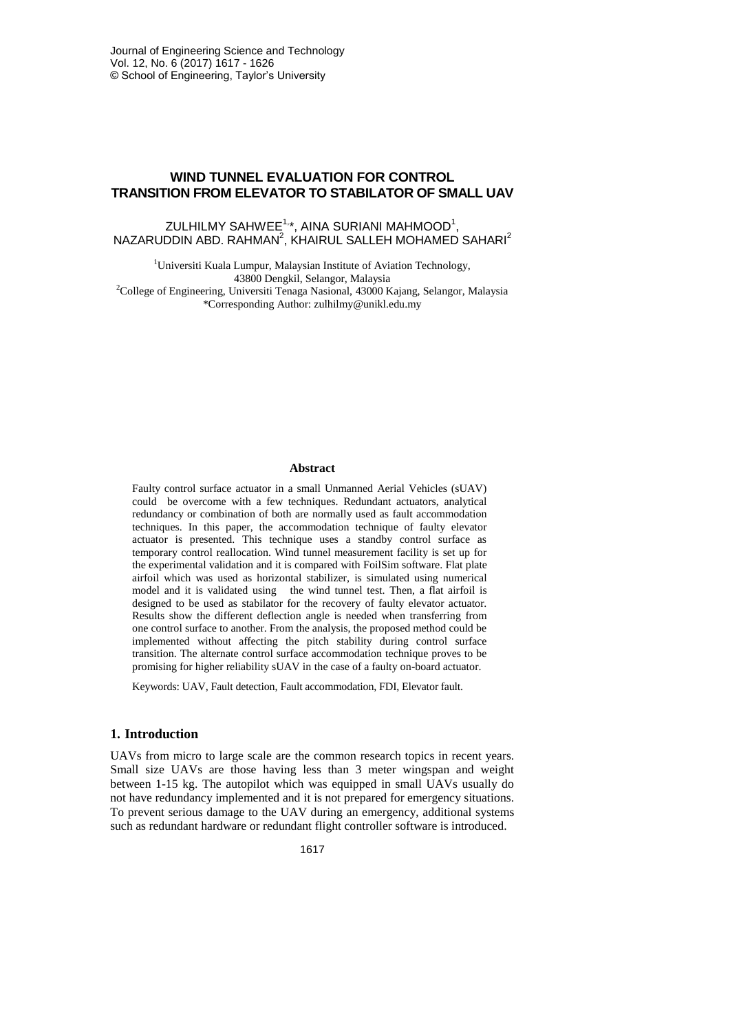# **WIND TUNNEL EVALUATION FOR CONTROL TRANSITION FROM ELEVATOR TO STABILATOR OF SMALL UAV**

## ZULHILMY SAHWEE $^{1,\star}$ , AINA SURIANI MAHMOOD $^1,$  $NAZARUDDIN ABD. RAHMAN<sup>2</sup>, KHAIRUL SALLEH MOHAMED SAHARI<sup>2</sup>$

<sup>1</sup>Universiti Kuala Lumpur, Malaysian Institute of Aviation Technology, 43800 Dengkil, Selangor, Malaysia <sup>2</sup>College of Engineering, Universiti Tenaga Nasional, 43000 Kajang, Selangor, Malaysia \*Corresponding Author: zulhilmy@unikl.edu.my

#### **Abstract**

Faulty control surface actuator in a small Unmanned Aerial Vehicles (sUAV) could be overcome with a few techniques. Redundant actuators, analytical redundancy or combination of both are normally used as fault accommodation techniques. In this paper, the accommodation technique of faulty elevator actuator is presented. This technique uses a standby control surface as temporary control reallocation. Wind tunnel measurement facility is set up for the experimental validation and it is compared with FoilSim software. Flat plate airfoil which was used as horizontal stabilizer, is simulated using numerical model and it is validated using the wind tunnel test. Then, a flat airfoil is designed to be used as stabilator for the recovery of faulty elevator actuator. Results show the different deflection angle is needed when transferring from one control surface to another. From the analysis, the proposed method could be implemented without affecting the pitch stability during control surface transition. The alternate control surface accommodation technique proves to be promising for higher reliability sUAV in the case of a faulty on-board actuator.

Keywords: UAV, Fault detection, Fault accommodation, FDI, Elevator fault.

## **1. Introduction**

UAVs from micro to large scale are the common research topics in recent years. Small size UAVs are those having less than 3 meter wingspan and weight between 1-15 kg. The autopilot which was equipped in small UAVs usually do not have redundancy implemented and it is not prepared for emergency situations. To prevent serious damage to the UAV during an emergency, additional systems such as redundant hardware or redundant flight controller software is introduced.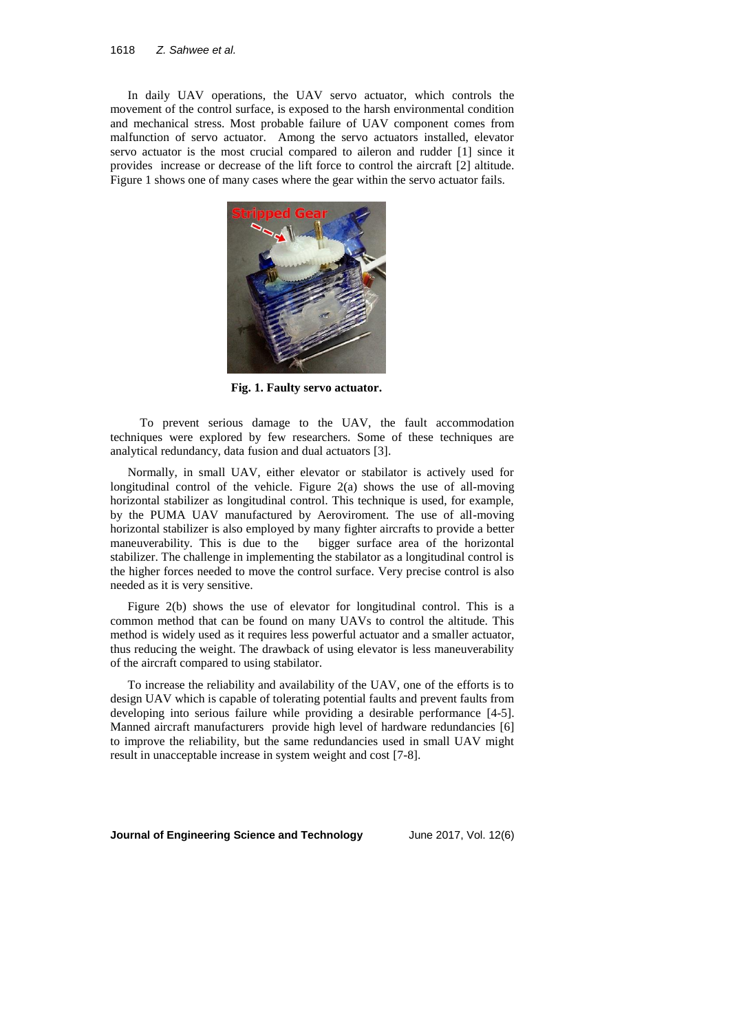In daily UAV operations, the UAV servo actuator, which controls the movement of the control surface, is exposed to the harsh environmental condition and mechanical stress. Most probable failure of UAV component comes from malfunction of servo actuator. Among the servo actuators installed, elevator servo actuator is the most crucial compared to aileron and rudder [1] since it provides increase or decrease of the lift force to control the aircraft [2] altitude. Figure 1 shows one of many cases where the gear within the servo actuator fails.



**Fig. 1. Faulty servo actuator.**

 To prevent serious damage to the UAV, the fault accommodation techniques were explored by few researchers. Some of these techniques are analytical redundancy, data fusion and dual actuators [3].

Normally, in small UAV, either elevator or stabilator is actively used for longitudinal control of the vehicle. Figure 2(a) shows the use of all-moving horizontal stabilizer as longitudinal control. This technique is used, for example, by the PUMA UAV manufactured by Aeroviroment. The use of all-moving horizontal stabilizer is also employed by many fighter aircrafts to provide a better maneuverability. This is due to the bigger surface area of the horizontal stabilizer. The challenge in implementing the stabilator as a longitudinal control is the higher forces needed to move the control surface. Very precise control is also needed as it is very sensitive.

Figure 2(b) shows the use of elevator for longitudinal control. This is a common method that can be found on many UAVs to control the altitude. This method is widely used as it requires less powerful actuator and a smaller actuator, thus reducing the weight. The drawback of using elevator is less maneuverability of the aircraft compared to using stabilator.

To increase the reliability and availability of the UAV, one of the efforts is to design UAV which is capable of tolerating potential faults and prevent faults from developing into serious failure while providing a desirable performance [4-5]. Manned aircraft manufacturers provide high level of hardware redundancies [6] to improve the reliability, but the same redundancies used in small UAV might result in unacceptable increase in system weight and cost [7-8].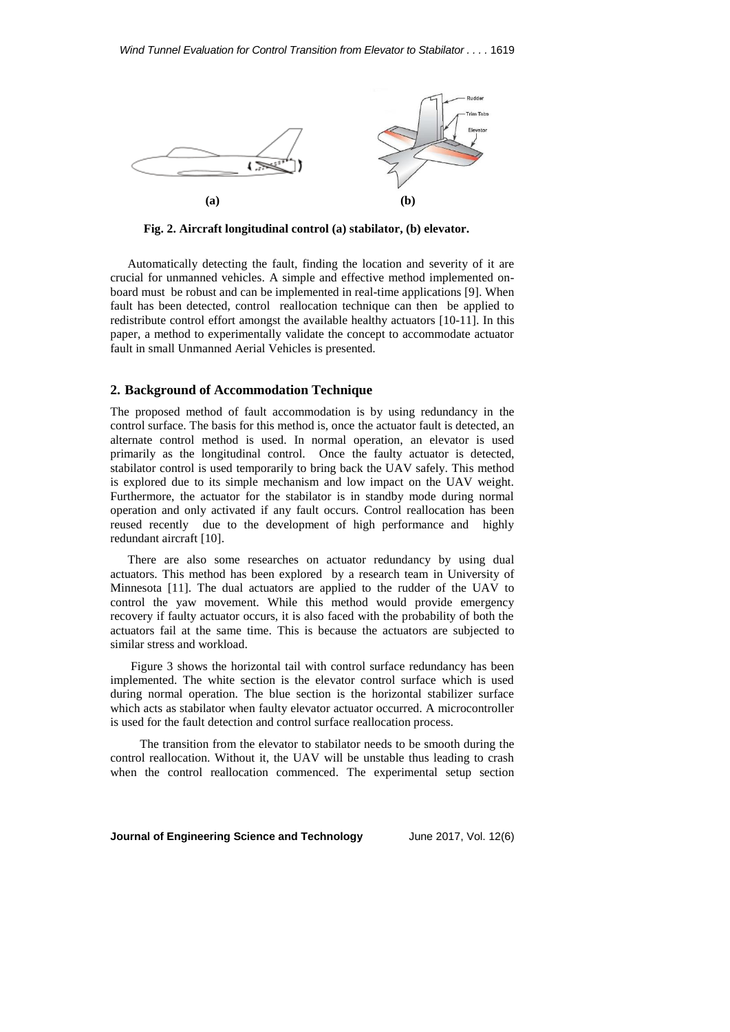

**Fig. 2. Aircraft longitudinal control (a) stabilator, (b) elevator.**

Automatically detecting the fault, finding the location and severity of it are crucial for unmanned vehicles. A simple and effective method implemented onboard must be robust and can be implemented in real-time applications [9]. When fault has been detected, control reallocation technique can then be applied to redistribute control effort amongst the available healthy actuators [10-11]. In this paper, a method to experimentally validate the concept to accommodate actuator fault in small Unmanned Aerial Vehicles is presented.

#### **2. Background of Accommodation Technique**

The proposed method of fault accommodation is by using redundancy in the control surface. The basis for this method is, once the actuator fault is detected, an alternate control method is used. In normal operation, an elevator is used primarily as the longitudinal control. Once the faulty actuator is detected, stabilator control is used temporarily to bring back the UAV safely. This method is explored due to its simple mechanism and low impact on the UAV weight. Furthermore, the actuator for the stabilator is in standby mode during normal operation and only activated if any fault occurs. Control reallocation has been reused recently due to the development of high performance and highly redundant aircraft [10].

There are also some researches on actuator redundancy by using dual actuators. This method has been explored by a research team in University of Minnesota [11]. The dual actuators are applied to the rudder of the UAV to control the yaw movement. While this method would provide emergency recovery if faulty actuator occurs, it is also faced with the probability of both the actuators fail at the same time. This is because the actuators are subjected to similar stress and workload.

Figure 3 shows the horizontal tail with control surface redundancy has been implemented. The white section is the elevator control surface which is used during normal operation. The blue section is the horizontal stabilizer surface which acts as stabilator when faulty elevator actuator occurred. A microcontroller is used for the fault detection and control surface reallocation process.

 The transition from the elevator to stabilator needs to be smooth during the control reallocation. Without it, the UAV will be unstable thus leading to crash when the control reallocation commenced. The experimental setup section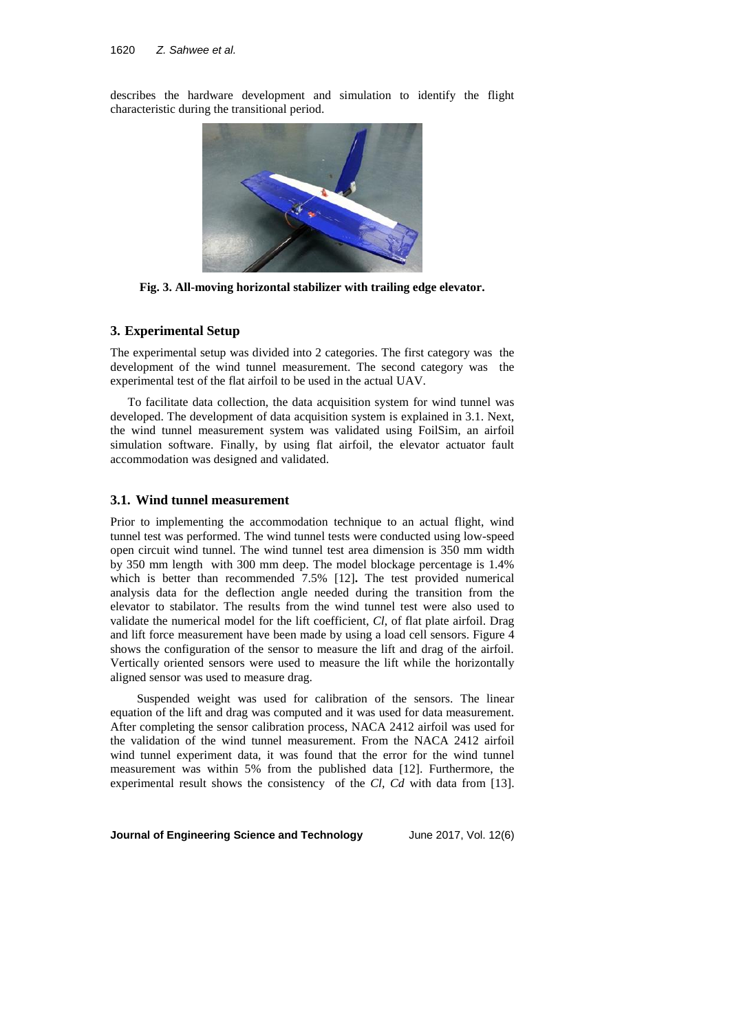describes the hardware development and simulation to identify the flight characteristic during the transitional period.



**Fig. 3. All-moving horizontal stabilizer with trailing edge elevator.**

## **3. Experimental Setup**

The experimental setup was divided into 2 categories. The first category was the development of the wind tunnel measurement. The second category was the experimental test of the flat airfoil to be used in the actual UAV.

To facilitate data collection, the data acquisition system for wind tunnel was developed. The development of data acquisition system is explained in 3.1. Next, the wind tunnel measurement system was validated using FoilSim, an airfoil simulation software. Finally, by using flat airfoil, the elevator actuator fault accommodation was designed and validated.

### **3.1. Wind tunnel measurement**

Prior to implementing the accommodation technique to an actual flight, wind tunnel test was performed. The wind tunnel tests were conducted using low-speed open circuit wind tunnel. The wind tunnel test area dimension is 350 mm width by 350 mm length with 300 mm deep. The model blockage percentage is 1.4% which is better than recommended 7.5% [12]**.** The test provided numerical analysis data for the deflection angle needed during the transition from the elevator to stabilator. The results from the wind tunnel test were also used to validate the numerical model for the lift coefficient, *Cl*, of flat plate airfoil. Drag and lift force measurement have been made by using a load cell sensors. Figure 4 shows the configuration of the sensor to measure the lift and drag of the airfoil. Vertically oriented sensors were used to measure the lift while the horizontally aligned sensor was used to measure drag.

 Suspended weight was used for calibration of the sensors. The linear equation of the lift and drag was computed and it was used for data measurement. After completing the sensor calibration process, NACA 2412 airfoil was used for the validation of the wind tunnel measurement. From the NACA 2412 airfoil wind tunnel experiment data, it was found that the error for the wind tunnel measurement was within 5% from the published data [12]. Furthermore, the experimental result shows the consistency of the *Cl, Cd* with data from [13].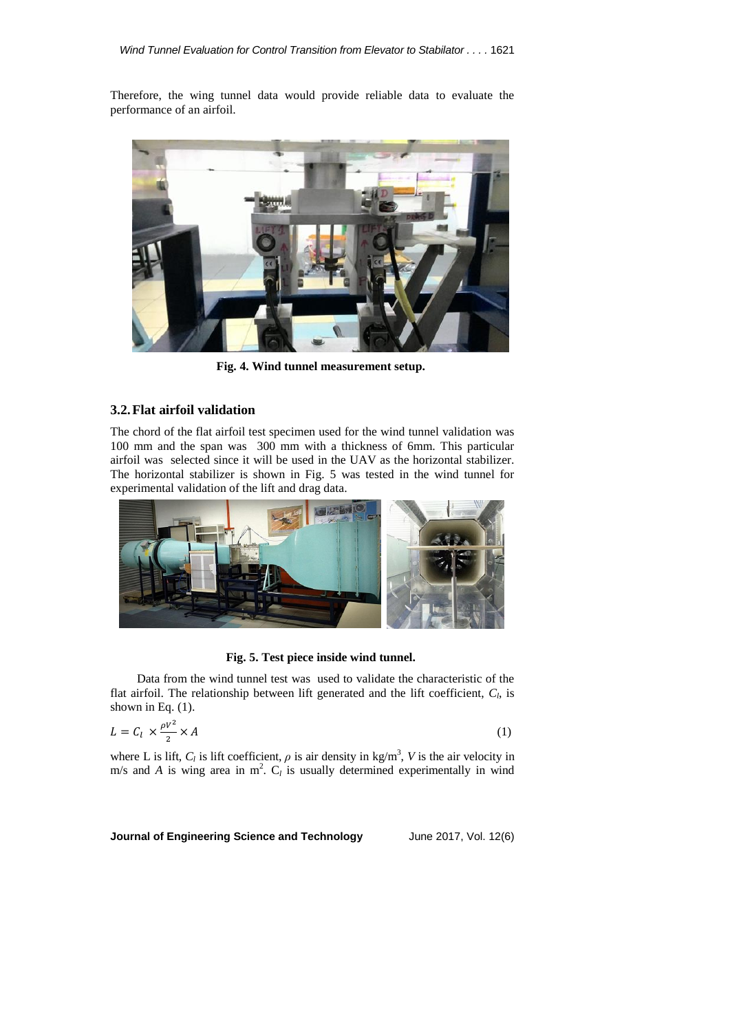Therefore, the wing tunnel data would provide reliable data to evaluate the performance of an airfoil.



**Fig. 4. Wind tunnel measurement setup.**

## **3.2.Flat airfoil validation**

The chord of the flat airfoil test specimen used for the wind tunnel validation was 100 mm and the span was 300 mm with a thickness of 6mm. This particular airfoil was selected since it will be used in the UAV as the horizontal stabilizer. The horizontal stabilizer is shown in Fig. 5 was tested in the wind tunnel for experimental validation of the lift and drag data.



**Fig. 5. Test piece inside wind tunnel.**

 Data from the wind tunnel test was used to validate the characteristic of the flat airfoil. The relationship between lift generated and the lift coefficient,  $C_l$ , is shown in Eq.  $(1)$ .

$$
L = C_l \times \frac{\rho V^2}{2} \times A \tag{1}
$$

where L is lift,  $C_l$  is lift coefficient,  $\rho$  is air density in kg/m<sup>3</sup>, V is the air velocity in m/s and *A* is wing area in  $m^2$ .  $C_l$  is usually determined experimentally in wind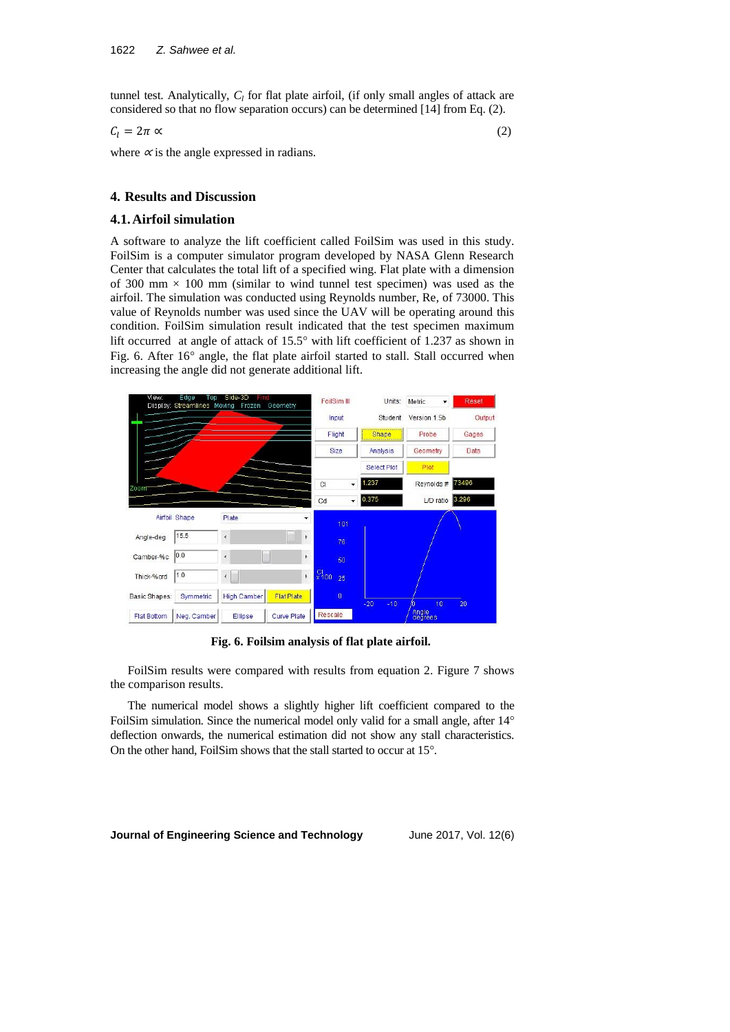tunnel test. Analytically, *C<sup>l</sup>* for flat plate airfoil, (if only small angles of attack are considered so that no flow separation occurs) can be determined [14] from Eq. (2).

$$
C_l = 2\pi \propto (2)
$$

where  $\alpha$  is the angle expressed in radians.

# **4. Results and Discussion**

## **4.1.Airfoil simulation**

A software to analyze the lift coefficient called FoilSim was used in this study. FoilSim is a computer simulator program developed by NASA Glenn Research Center that calculates the total lift of a specified wing. Flat plate with a dimension of 300 mm  $\times$  100 mm (similar to wind tunnel test specimen) was used as the airfoil. The simulation was conducted using Reynolds number, Re, of 73000. This value of Reynolds number was used since the UAV will be operating around this condition. FoilSim simulation result indicated that the test specimen maximum lift occurred at angle of attack of  $15.5^\circ$  with lift coefficient of 1.237 as shown in Fig. 6. After  $16^{\circ}$  angle, the flat plate airfoil started to stall. Stall occurred when increasing the angle did not generate additional lift.



**Fig. 6. Foilsim analysis of flat plate airfoil.**

FoilSim results were compared with results from equation 2. Figure 7 shows the comparison results.

The numerical model shows a slightly higher lift coefficient compared to the FoilSim simulation. Since the numerical model only valid for a small angle, after 14° deflection onwards, the numerical estimation did not show any stall characteristics. On the other hand, FoilSim shows that the stall started to occur at 15°.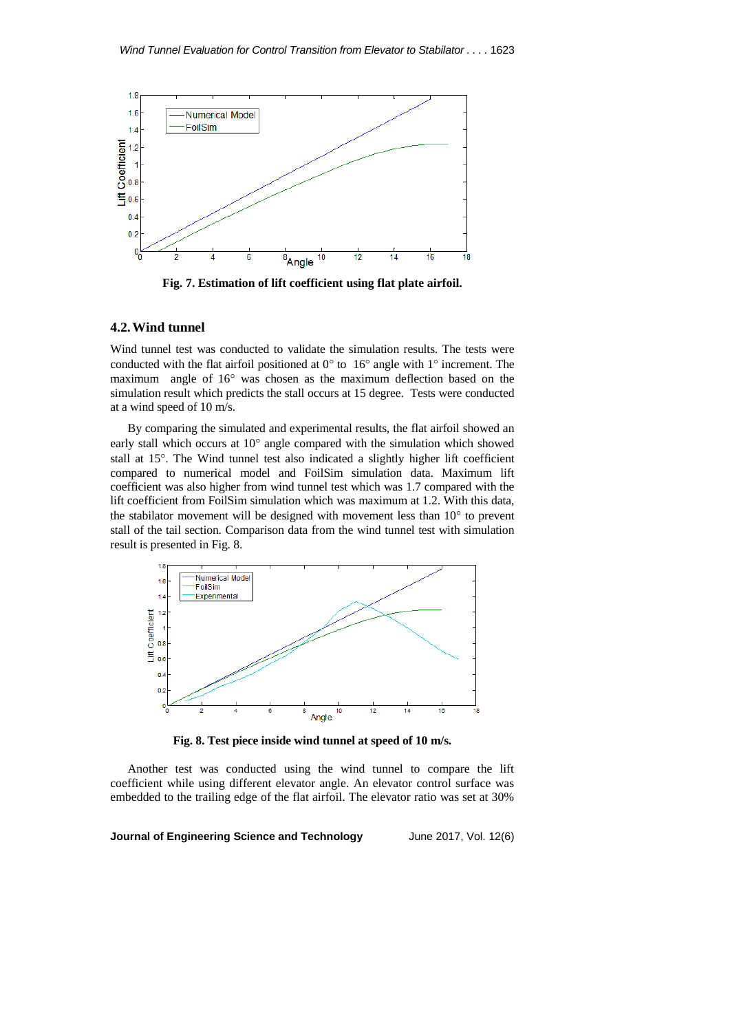

**Fig. 7. Estimation of lift coefficient using flat plate airfoil.**

## **4.2.Wind tunnel**

Wind tunnel test was conducted to validate the simulation results. The tests were conducted with the flat airfoil positioned at  $0^{\circ}$  to  $16^{\circ}$  angle with  $1^{\circ}$  increment. The maximum angle of  $16^{\circ}$  was chosen as the maximum deflection based on the simulation result which predicts the stall occurs at 15 degree. Tests were conducted at a wind speed of 10 m/s.

By comparing the simulated and experimental results, the flat airfoil showed an early stall which occurs at  $10^{\circ}$  angle compared with the simulation which showed stall at 15°. The Wind tunnel test also indicated a slightly higher lift coefficient compared to numerical model and FoilSim simulation data. Maximum lift coefficient was also higher from wind tunnel test which was 1.7 compared with the lift coefficient from FoilSim simulation which was maximum at 1.2. With this data, the stabilator movement will be designed with movement less than  $10^{\circ}$  to prevent stall of the tail section. Comparison data from the wind tunnel test with simulation result is presented in Fig. 8.



**Fig. 8. Test piece inside wind tunnel at speed of 10 m/s.**

Another test was conducted using the wind tunnel to compare the lift coefficient while using different elevator angle. An elevator control surface was embedded to the trailing edge of the flat airfoil. The elevator ratio was set at 30%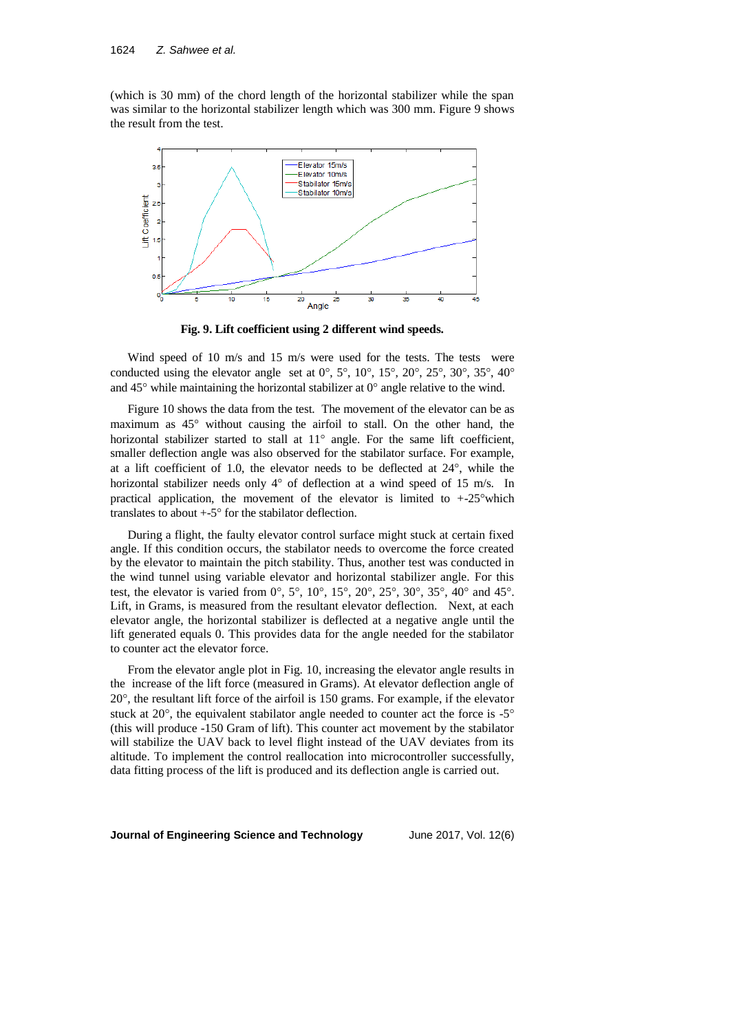(which is 30 mm) of the chord length of the horizontal stabilizer while the span was similar to the horizontal stabilizer length which was 300 mm. Figure 9 shows the result from the test.



**Fig. 9. Lift coefficient using 2 different wind speeds.**

Wind speed of 10 m/s and 15 m/s were used for the tests. The tests were conducted using the elevator angle set at  $0^\circ$ ,  $5^\circ$ ,  $10^\circ$ ,  $15^\circ$ ,  $20^\circ$ ,  $25^\circ$ ,  $30^\circ$ ,  $35^\circ$ ,  $40^\circ$ and  $45^{\circ}$  while maintaining the horizontal stabilizer at  $0^{\circ}$  angle relative to the wind.

Figure 10 shows the data from the test. The movement of the elevator can be as maximum as 45° without causing the airfoil to stall. On the other hand, the horizontal stabilizer started to stall at  $11^{\circ}$  angle. For the same lift coefficient, smaller deflection angle was also observed for the stabilator surface. For example, at a lift coefficient of 1.0, the elevator needs to be deflected at  $24^{\circ}$ , while the horizontal stabilizer needs only  $4^{\circ}$  of deflection at a wind speed of 15 m/s. In practical application, the movement of the elevator is limited to  $+25^{\circ}$  which translates to about  $+5^{\circ}$  for the stabilator deflection.

During a flight, the faulty elevator control surface might stuck at certain fixed angle. If this condition occurs, the stabilator needs to overcome the force created by the elevator to maintain the pitch stability. Thus, another test was conducted in the wind tunnel using variable elevator and horizontal stabilizer angle. For this test, the elevator is varied from  $0^{\circ}$ ,  $5^{\circ}$ ,  $10^{\circ}$ ,  $15^{\circ}$ ,  $20^{\circ}$ ,  $25^{\circ}$ ,  $30^{\circ}$ ,  $35^{\circ}$ ,  $40^{\circ}$  and  $45^{\circ}$ . Lift, in Grams, is measured from the resultant elevator deflection. Next, at each elevator angle, the horizontal stabilizer is deflected at a negative angle until the lift generated equals 0. This provides data for the angle needed for the stabilator to counter act the elevator force.

From the elevator angle plot in Fig. 10, increasing the elevator angle results in the increase of the lift force (measured in Grams). At elevator deflection angle of  $20^{\circ}$ , the resultant lift force of the airfoil is 150 grams. For example, if the elevator stuck at  $20^{\circ}$ , the equivalent stabilator angle needed to counter act the force is  $-5^{\circ}$ (this will produce -150 Gram of lift). This counter act movement by the stabilator will stabilize the UAV back to level flight instead of the UAV deviates from its altitude. To implement the control reallocation into microcontroller successfully, data fitting process of the lift is produced and its deflection angle is carried out.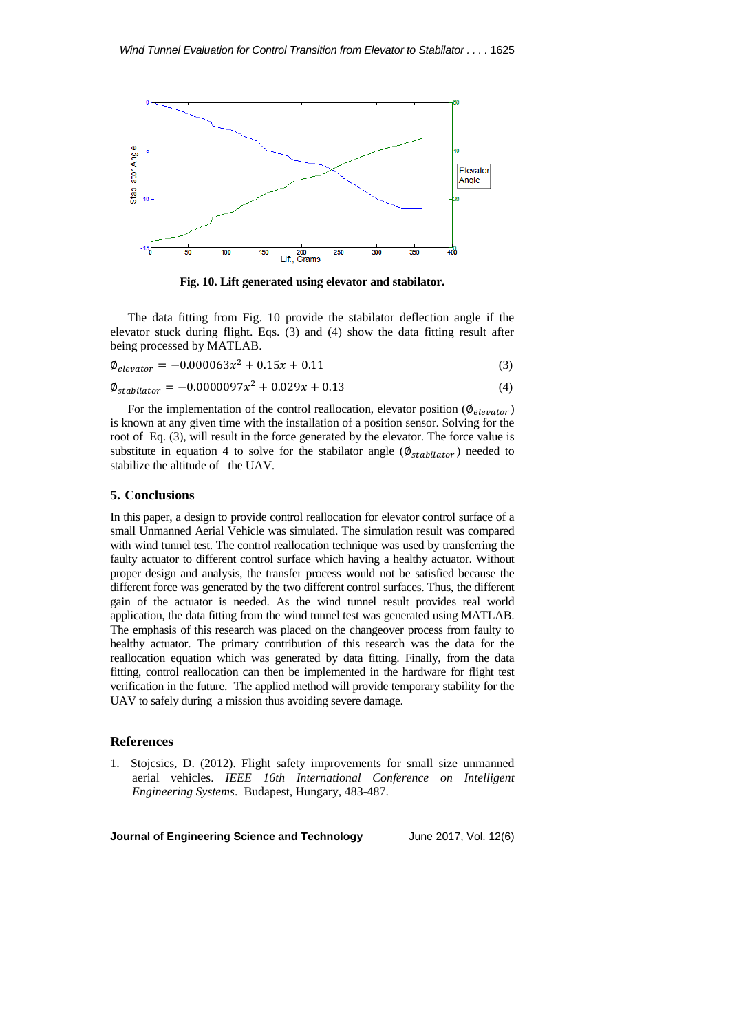

**Fig. 10. Lift generated using elevator and stabilator.**

The data fitting from Fig. 10 provide the stabilator deflection angle if the elevator stuck during flight. Eqs. (3) and (4) show the data fitting result after being processed by MATLAB.

$$
\phi_{elevation} = -0.000063x^2 + 0.15x + 0.11\tag{3}
$$

$$
\phi_{stabilator} = -0.0000097x^2 + 0.029x + 0.13\tag{4}
$$

For the implementation of the control reallocation, elevator position ( $\varnothing_{e\text{levator}}$ ) is known at any given time with the installation of a position sensor. Solving for the root of Eq. (3), will result in the force generated by the elevator. The force value is substitute in equation 4 to solve for the stabilator angle ( $\phi_{stabilator}$ ) needed to stabilize the altitude of the UAV.

### **5. Conclusions**

In this paper, a design to provide control reallocation for elevator control surface of a small Unmanned Aerial Vehicle was simulated. The simulation result was compared with wind tunnel test. The control reallocation technique was used by transferring the faulty actuator to different control surface which having a healthy actuator. Without proper design and analysis, the transfer process would not be satisfied because the different force was generated by the two different control surfaces. Thus, the different gain of the actuator is needed. As the wind tunnel result provides real world application, the data fitting from the wind tunnel test was generated using MATLAB. The emphasis of this research was placed on the changeover process from faulty to healthy actuator. The primary contribution of this research was the data for the reallocation equation which was generated by data fitting. Finally, from the data fitting, control reallocation can then be implemented in the hardware for flight test verification in the future. The applied method will provide temporary stability for the UAV to safely during a mission thus avoiding severe damage.

#### **References**

1. Stojcsics, D. (2012). Flight safety improvements for small size unmanned aerial vehicles. *IEEE 16th International Conference on Intelligent Engineering Systems*. Budapest, Hungary, 483-487.